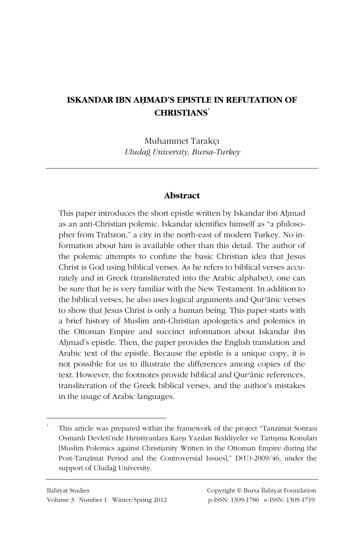# **ISKANDAR IBN AHMAD'S EPISTLE IN REFUTATION OF CHRISTIANS\***

Muhammet Tarakçı *UludaÍ University, Bursa-Turkey* 

## **Abstract**

This paper introduces the short epistle written by Iskandar ibn Aḥmad as an anti-Christian polemic. Iskandar identifies himself as "a philosopher from Trabzon," a city in the north-east of modern Turkey. No information about him is available other than this detail. The author of the polemic attempts to confute the basic Christian idea that Jesus Christ is God using biblical verses. As he refers to biblical verses accurately and in Greek (transliterated into the Arabic alphabet), one can be sure that he is very familiar with the New Testament. In addition to the biblical verses, he also uses logical arguments and Qur'ānic verses to show that Jesus Christ is only a human being. This paper starts with a brief history of Muslim anti-Christian apologetics and polemics in the Ottoman Empire and succinct information about Iskandar ibn Ahmad's epistle. Then, the paper provides the English translation and Arabic text of the epistle. Because the epistle is a unique copy, it is not possible for us to illustrate the differences among copies of the text. However, the footnotes provide biblical and Qur'ānic references, transliteration of the Greek biblical verses, and the author's mistakes in the usage of Arabic languages.

 $\overline{a}$ 

This article was prepared within the framework of the project "Tanzimat Sonrası Osmanlı Devleti'nde Hıristiyanlara Karşı Yazılan Reddiyeler ve Tartışma Konuları [Muslim Polemics against Christianity Written in the Ottoman Empire during the Post-Tanzimat Period and the Controversial Issues]," D(U)-2009/46, under the support of Uludağ University.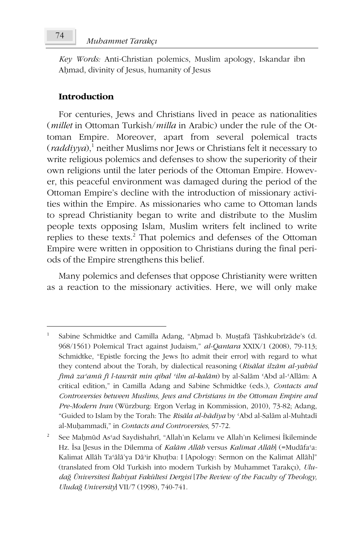Key Words: Anti-Christian polemics, Muslim apology, Iskandar ibn Ahmad, divinity of Jesus, humanity of Jesus

## **Introduction**

For centuries, Jews and Christians lived in peace as nationalities (*millet* in Ottoman Turkish/*milla* in Arabic) under the rule of the Ottoman Empire. Moreover, apart from several polemical tracts (raddiyya),<sup>1</sup> neither Muslims nor Jews or Christians felt it necessary to write religious polemics and defenses to show the superiority of their own religions until the later periods of the Ottoman Empire. However, this peaceful environment was damaged during the period of the Ottoman Empire's decline with the introduction of missionary activities within the Empire. As missionaries who came to Ottoman lands to spread Christianity began to write and distribute to the Muslim people texts opposing Islam, Muslim writers felt inclined to write replies to these texts.<sup>2</sup> That polemics and defenses of the Ottoman Empire were written in opposition to Christians during the final periods of the Empire strengthens this belief.

Many polemics and defenses that oppose Christianity were written as a reaction to the missionary activities. Here, we will only make

Sabine Schmidtke and Camilla Adang, "Aḥmad b. Mușțafā Țāshkubrīzāde's (d. 968/1561) Polemical Tract against Judaism," al-Qantara XXIX/1 (2008), 79-113; Schmidtke, "Epistle forcing the Jews [to admit their error] with regard to what they contend about the Torah, by dialectical reasoning (Risālat ilzām al-yahūd fimā za'amū fi l-tawrāt min qibal 'ilm al-kalām) by al-Salām 'Abd al-'Allām: A critical edition," in Camilla Adang and Sabine Schmidtke (eds.), Contacts and Controversies between Muslims, Jews and Christians in the Ottoman Empire and Pre-Modern Iran (Würzburg: Ergon Verlag in Kommission, 2010), 73-82; Adang, "Guided to Islam by the Torah: The Risāla al-bādiya by 'Abd al-Salām al-Muhtadī al-Muḥammadī," in Contacts and Controversies, 57-72.

 $\,2$ See Mahmud As'ad Saydishahri, "Allah'ın Kelamı ve Allah'ın Kelimesi İkileminde Hz. Isa [Jesus in the Dilemma of Kalām Allāh versus Kalimat Allāh] (=Mudāfa'a: Kalimat Allāh Ta'ālā'ya Dā'ir Khuṭba: I [Apology: Sermon on the Kalimat Allāh]" (translated from Old Turkish into modern Turkish by Muhammet Tarakçı), Uludağ Üniversitesi İlabiyat Fakültesi Dergisi [The Review of the Faculty of Theology, Uludağ University] VII/7 (1998), 740-741.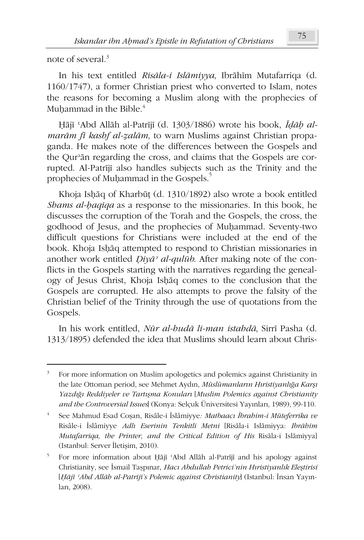note of several.<sup>3</sup>

<u>.</u>

In his text entitled *Risāla-i Islāmiyya*, Ibrāhīm Mutafarriqa (d. 1160/1747), a former Christian priest who converted to Islam, notes the reasons for becoming a Muslim along with the prophecies of Muḥammad in the Bible. $^4$ 

Hājī 'Abd Allāh al-Patrījī (d. 1303/1886) wrote his book, *Īdāḥ almarām fī kashf al-zalām*, to warn Muslims against Christian propaganda. He makes note of the differences between the Gospels and the Qur'ān regarding the cross, and claims that the Gospels are corrupted. Al-Patriji also handles subjects such as the Trinity and the prophecies of Muḥammad in the Gospels.<sup>5</sup>

Khoja Isḥāq of Kharbūṭ (d. 1310/1892) also wrote a book entitled *Shams al-baqIqa* as a response to the missionaries. In this book, he discusses the corruption of the Torah and the Gospels, the cross, the godhood of Jesus, and the prophecies of Muhammad. Seventy-two difficult questions for Christians were included at the end of the book. Khoja Ishāq attempted to respond to Christian missionaries in another work entitled *điyÃý al-quláb*. After making note of the conflicts in the Gospels starting with the narratives regarding the genealogy of Jesus Christ, Khoja Isḥāq comes to the conclusion that the Gospels are corrupted. He also attempts to prove the falsity of the Christian belief of the Trinity through the use of quotations from the Gospels.

In his work entitled, *Nūr al-hudā li-man istahdā*, Sirrī Pasha (d. 1313/1895) defended the idea that Muslims should learn about Chris-

<sup>3</sup> For more information on Muslim apologetics and polemics against Christianity in the late Ottoman period, see Mehmet Aydın, *Müslümanların Hıristiyanlığa Karşı* Yazdığı Reddiyeler ve Tartışma Konuları [Muslim Polemics against Christianity *and the Controversial Issues*] (Konya: Selçuk Üniversitesi Yayınları, 1989), 99-110.

<sup>4</sup> See Mahmud Esad Coşan, Risâle-i İslâmiyye: Matbaacı İbrahim-i Müteferrika ve Risâle-i İslâmiyye Adlı Eserinin Tenkitli Metni [Risāla-i Islāmiyya: Ibrāhīm *Mutafarriqa, the Printer, and the Critical Edition of His Risāla-i Islāmiyya]* (Istanbul: Server İletişim, 2010).

<sup>5</sup> For more information about Ḥājī 'Abd Allāh al-Patrījī and his apology against Christianity, see İsmail Taşpınar, *Hacı Abdullah Petrici'nin Hıristiyanlık Eleştirisi* [Hājī 'Abd Allāh al-Patrījī's Polemic against Christianity] (Istanbul: İnsan Yayınları, 2008).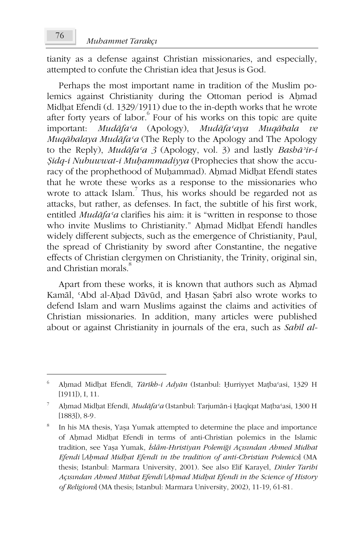tianity as a defense against Christian missionaries, and especially, attempted to confute the Christian idea that Jesus is God.

Perhaps the most important name in tradition of the Muslim polemics against Christianity during the Ottoman period is Ahmad Midhat Efendī (d. 1329/1911) due to the in-depth works that he wrote after forty years of labor. Four of his works on this topic are quite important: *MudÃfaþa* (Apology), *MudÃfaþaya MuqÃbala ve MuqÃbalaya MudÃfaþa* (The Reply to the Apology and The Apology to the Reply), *MudÃfaþa 3* (Apology, vol. 3) and lastly *BashÃýir-i <i>§idq-i Nubuwwat-i Muhammadiyya* (Prophecies that show the accuracy of the prophethood of Muhammad). Ahmad Midhat Efendī states that he wrote these works as a response to the missionaries who wrote to attack Islam.<sup>7</sup> Thus, his works should be regarded not as attacks, but rather, as defenses. In fact, the subtitle of his first work, entitled *Mudāfa*<sup>*'a*</sup> clarifies his aim: it is "written in response to those who invite Muslims to Christianity." Ahmad Midhat Efendī handles widely different subjects, such as the emergence of Christianity, Paul, the spread of Christianity by sword after Constantine, the negative effects of Christian clergymen on Christianity, the Trinity, original sin, and Christian morals.<sup>8</sup>

Apart from these works, it is known that authors such as Ahmad Kamāl, 'Abd al-Aḥad Dāvūd, and Ḥasan Şabrī also wrote works to defend Islam and warn Muslims against the claims and activities of Christian missionaries. In addition, many articles were published about or against Christianity in journals of the era, such as *SabÑl al-*

<u>.</u>

<sup>6</sup> Ahmad Midhat Efendī, *Tārīkh-i Adyān* (Istanbul: Hurriyyet Mațba'asi, 1329 H [1911]), I, 11.

<sup>7</sup> Aḥmad Midḥat Efendī, *Mudāfa*<sup>*ca*</sup> (Istanbul: Tarjumān-i Ḥaqīqat Maṭba<sup>c</sup>asi, 1300 H [1883]), 8-9*.*

<sup>8</sup> In his MA thesis, Yaşa Yumak attempted to determine the place and importance of Ahmad Midhat Efendī in terms of anti-Christian polemics in the Islamic tradition, see YaȞa Yumak, *Ôslâm-HÕristiyan PolemiÍi AçÕVÕndan Ahmed Midhat Efendi* [*\$Ĝmad MidĜat EfendÑ in the tradition of anti-Christian Polemics*] (MA thesis; Istanbul: Marmara University, 2001). See also Elif Karayel, *Dinler Tarihi AçÕVÕndan Ahmed Mithat Efendi* [*\$Ĝmad MidĜat EfendÑ in the Science of History of Religions*] (MA thesis; Istanbul: Marmara University, 2002), 11-19, 61-81*.*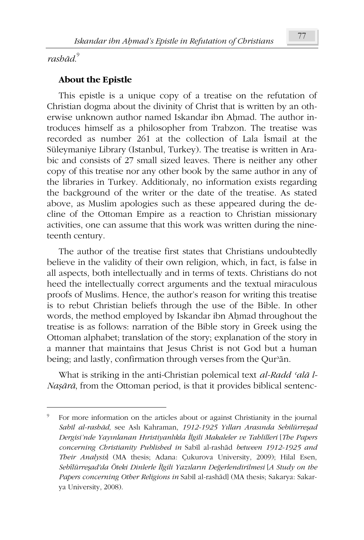*rashÃd*. 9

 $\overline{a}$ 

# **About the Epistle**

This epistle is a unique copy of a treatise on the refutation of Christian dogma about the divinity of Christ that is written by an otherwise unknown author named Iskandar ibn Ahmad. The author introduces himself as a philosopher from Trabzon. The treatise was recorded as number 261 at the collection of Lala Ismail at the Süleymaniye Library (Istanbul, Turkey). The treatise is written in Arabic and consists of 27 small sized leaves. There is neither any other copy of this treatise nor any other book by the same author in any of the libraries in Turkey. Additionaly, no information exists regarding the background of the writer or the date of the treatise. As stated above, as Muslim apologies such as these appeared during the decline of the Ottoman Empire as a reaction to Christian missionary activities, one can assume that this work was written during the nineteenth century.

The author of the treatise first states that Christians undoubtedly believe in the validity of their own religion, which, in fact, is false in all aspects, both intellectually and in terms of texts. Christians do not heed the intellectually correct arguments and the textual miraculous proofs of Muslims. Hence, the author's reason for writing this treatise is to rebut Christian beliefs through the use of the Bible. In other words, the method employed by Iskandar ibn Aḥmad throughout the treatise is as follows: narration of the Bible story in Greek using the Ottoman alphabet; translation of the story; explanation of the story in a manner that maintains that Jesus Christ is not God but a human being; and lastly, confirmation through verses from the Qur'ān.

What is striking in the anti-Christian polemical text *al-Radd 'alā l-Na*<sub>5</sub> $\bar{a}$ <sub>*n*</sub> $\bar{a}$ , from the Ottoman period, is that it provides biblical sentenc-

<sup>9</sup> For more information on the articles about or against Christianity in the journal *SabÑl al-rashÃd,* see AslÕ Kahraman, *1912-1925 YÕllarÕ ArasÕnda SebilürreȞad Dergisi'nde YayÕnlanan HÕristiyanlÕkla Ôlgili Makaleler ve Tahlilleri* [*The Papers*  concerning Christianity Published in Sabīl al-rashād between 1912-1925 and *Their Analysis*] (MA thesis; Adana: Çukurova University, 2009); Hilal Esen, *SebîlürreȞad'da Öteki Dinlerle Ôlgili YazÕlarÕn DeÍerlendirilmesi* [*A Study on the*  Papers concerning Other Religions in Sabīl al-rashād] (MA thesis; Sakarya: Sakarya University, 2008).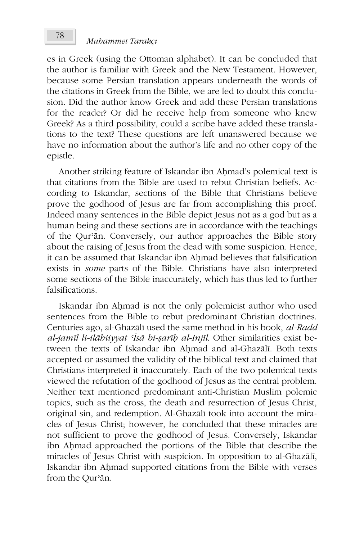es in Greek (using the Ottoman alphabet). It can be concluded that the author is familiar with Greek and the New Testament. However, because some Persian translation appears underneath the words of the citations in Greek from the Bible, we are led to doubt this conclusion. Did the author know Greek and add these Persian translations for the reader? Or did he receive help from someone who knew Greek? As a third possibility, could a scribe have added these translations to the text? These questions are left unanswered because we have no information about the author's life and no other copy of the epistle.

Another striking feature of Iskandar ibn Ahmad's polemical text is that citations from the Bible are used to rebut Christian beliefs. According to Iskandar, sections of the Bible that Christians believe prove the godhood of Jesus are far from accomplishing this proof. Indeed many sentences in the Bible depict Jesus not as a god but as a human being and these sections are in accordance with the teachings of the Qur'ān. Conversely, our author approaches the Bible story about the raising of Jesus from the dead with some suspicion. Hence, it can be assumed that Iskandar ibn Ahmad believes that falsification exists in *some* parts of the Bible. Christians have also interpreted some sections of the Bible inaccurately, which has thus led to further falsifications.

Iskandar ibn Ahmad is not the only polemicist author who used sentences from the Bible to rebut predominant Christian doctrines. Centuries ago, al-Ghazālī used the same method in his book, *al-Radd al-jamīl li-ilābiiyyat <sup><i>isā bi-sarīb al-Injīl*. Other similarities exist be-</sup> tween the texts of Iskandar ibn Aḥmad and al-Ghazālī. Both texts accepted or assumed the validity of the biblical text and claimed that Christians interpreted it inaccurately. Each of the two polemical texts viewed the refutation of the godhood of Jesus as the central problem. Neither text mentioned predominant anti-Christian Muslim polemic topics, such as the cross, the death and resurrection of Jesus Christ, original sin, and redemption. Al-Ghazālī took into account the miracles of Jesus Christ; however, he concluded that these miracles are not sufficient to prove the godhood of Jesus. Conversely, Iskandar ibn Aḥmad approached the portions of the Bible that describe the miracles of Jesus Christ with suspicion. In opposition to al-Ghazālī, Iskandar ibn Ahmad supported citations from the Bible with verses from the Qur'ān.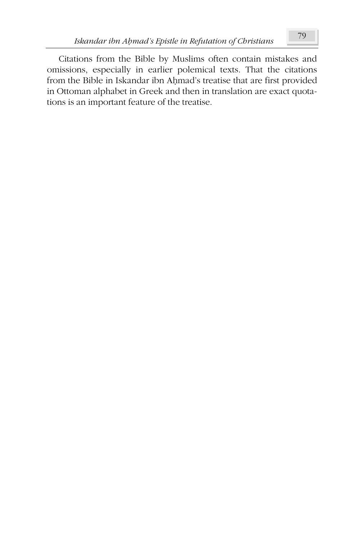Citations from the Bible by Muslims often contain mistakes and omissions, especially in earlier polemical texts. That the citations from the Bible in Iskandar ibn Aḥmad's treatise that are first provided in Ottoman alphabet in Greek and then in translation are exact quotations is an important feature of the treatise.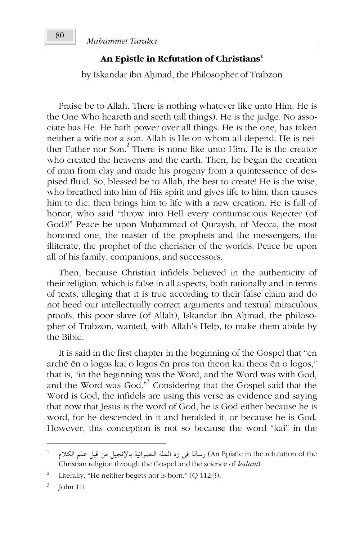#### **An Epistle in Refutation of Christians<sup>1</sup>**

by Iskandar ibn Ahmad, the Philosopher of Trabzon

Praise be to Allah. There is nothing whatever like unto Him. He is the One Who heareth and seeth (all things). He is the judge. No associate has He. He hath power over all things. He is the one, has taken neither a wife nor a son. Allah is He on whom all depend. He is neither Father nor Son.<sup>2</sup> There is none like unto Him. He is the creator who created the heavens and the earth. Then, he began the creation of man from clay and made his progeny from a quintessence of despised fluid. So, blessed be to Allah, the best to create! He is the wise, who breathed into him of His spirit and gives life to him, then causes him to die, then brings him to life with a new creation. He is full of honor, who said "throw into Hell every contumacious Rejecter (of God)!" Peace be upon Muḥammad of Quraysh, of Mecca, the most honored one, the master of the prophets and the messengers, the illiterate, the prophet of the cherisher of the worlds. Peace be upon all of his family, companions, and successors.

Then, because Christian infidels believed in the authenticity of their religion, which is false in all aspects, both rationally and in terms of texts, alleging that it is true according to their false claim and do not heed our intellectually correct arguments and textual miraculous proofs, this poor slave (of Allah), Iskandar ibn Ahmad, the philosopher of Trabzon, wanted, with Allah's Help, to make them abide by the Bible.

It is said in the first chapter in the beginning of the Gospel that "en arché én o logos kai o logos én pros ton theon kai theos én o logos," that is, "in the beginning was the Word, and the Word was with God, and the Word was God."<sup>3</sup> Considering that the Gospel said that the Word is God, the infidels are using this verse as evidence and saying that now that Jesus is the word of God, he is God either because he is word, for he descended in it and heralded it, or because he is God. However, this conception is not so because the word "kai" in the

 $\overline{a}$ 

 $^{-1}$  لوبالة في رد الملة النصرانية بالإنجيل من قبل علم الكلام (An Epistle in the refutation of the Christian religion through the Gospel and the science of *kalÃm*)

<sup>2</sup> Literally, "He neither begets nor is born." (Q 112:3).

<sup>3</sup> John 1:1.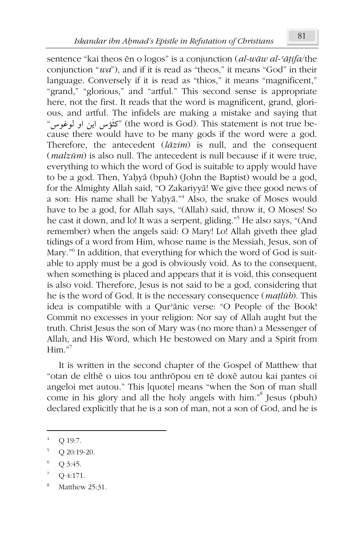sentence "kai theos ēn o logos" is a conjunction (*al-wāw al-'āṭifa*/the conjunction "*wa*"), and if it is read as "theos," it means "God" in their language. Conversely if it is read as "thios," it means "magnificent," "grand," "glorious," and "artful." This second sense is appropriate here, not the first. It reads that the word is magnificent, grand, glorious, and artful. The infidels are making a mistake and saying that "كَثَوْس اين او لوغوس" (the word is God). This statement is not true because there would have to be many gods if the word were a god. Therefore, the antecedent (*lāzim*) is null, and the consequent (*malzám*) is also null. The antecedent is null because if it were true, everything to which the word of God is suitable to apply would have to be a god. Then, Yaḥyā (bpuh) (John the Baptist) would be a god, for the Almighty Allah said, "O ZakariyyÃ! We give thee good news of a son: His name shall be Yaḥyā."<sup>4</sup> Also, the snake of Moses would have to be a god, for Allah says, "(Allah) said, throw it, O Moses! So he cast it down, and lo! It was a serpent, gliding."<sup>5</sup> He also says, "(And remember) when the angels said: O Mary! Lo! Allah giveth thee glad tidings of a word from Him, whose name is the Messiah, Jesus, son of Mary."<sup>6</sup> In addition, that everything for which the word of God is suitable to apply must be a god is obviously void. As to the consequent, when something is placed and appears that it is void, this consequent is also void. Therefore, Jesus is not said to be a god, considering that he is the word of God. It is the necessary consequence (*matlub*). This idea is compatible with a Qur'ānic verse: "O People of the Book! Commit no excesses in your religion: Nor say of Allah aught but the truth. Christ Jesus the son of Mary was (no more than) a Messenger of Allah, and His Word, which He bestowed on Mary and a Spirit from  $H<sub>im</sub>$ ."

It is written in the second chapter of the Gospel of Matthew that "otan de elthē o uios tou anthrōpou en tē doxē autou kai pantes oi angeloi met autou." This [quote] means "when the Son of man shall come in his glory and all the holy angels with him."<sup>8</sup> Jesus (pbuh) declared explicitly that he is a son of man, not a son of God, and he is

1

Q 19:7.

 $5$  Q 20:19-20.

<sup>6</sup> Q 3:45.

 $7^7$  Q 4:171.

<sup>8</sup> Matthew 25:31.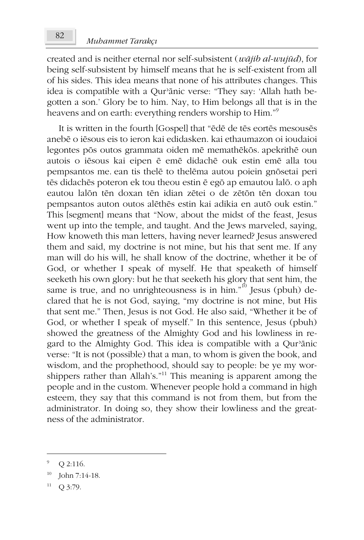created and is neither eternal nor self-subsistent ( $w\bar{a}j\bar{b}$  al- $w\bar{u}j\bar{a}d$ ), for being self-subsistent by himself means that he is self-existent from all of his sides. This idea means that none of his attributes changes. This idea is compatible with a Qur'anic verse: "They say: 'Allah hath begotten a son.' Glory be to him. Nay, to Him belongs all that is in the heavens and on earth: everything renders worship to Him."<sup>9</sup>

It is written in the fourth [Gospel] that "ēdē de tēs eortēs mesousēs anebē o iēsous eis to ieron kai edidasken. kai ethaumazon oi ioudaioi legontes pōs outos grammata oiden mē memathēkōs. apekrithē oun autois o iēsous kai eipen ē emē didachē ouk estin emē alla tou pempsantos me. ean tis thelē to thelēma autou poiein gnōsetai peri tēs didachēs poteron ek tou theou estin ē egō ap emautou lalō. o aph eautou lalon tēn doxan tēn idian zētei o de zēton tēn doxan tou pempsantos auton outos alēthēs estin kai adikia en autō ouk estin." This [segment] means that "Now, about the midst of the feast, Jesus went up into the temple, and taught. And the Jews marveled, saying, How knoweth this man letters, having never learned? Jesus answered them and said, my doctrine is not mine, but his that sent me. If any man will do his will, he shall know of the doctrine, whether it be of God, or whether I speak of myself. He that speaketh of himself seeketh his own glory: but he that seeketh his glory that sent him, the same is true, and no unrighteousness is in him."<sup>10</sup> Jesus (pbuh) declared that he is not God, saying, "my doctrine is not mine, but His that sent me." Then, Jesus is not God. He also said, "Whether it be of God, or whether I speak of myself." In this sentence, Jesus (pbuh) showed the greatness of the Almighty God and his lowliness in regard to the Almighty God. This idea is compatible with a Qur'anic verse: "It is not (possible) that a man, to whom is given the book, and wisdom, and the prophethood, should say to people: be ye my worshippers rather than Allah's."<sup>11</sup> This meaning is apparent among the people and in the custom. Whenever people hold a command in high esteem, they say that this command is not from them, but from the administrator. In doing so, they show their lowliness and the greatness of the administrator.

 $\overline{Q}$ Q 2:116.

John 7:14-18.

<sup>11</sup> Q 3:79.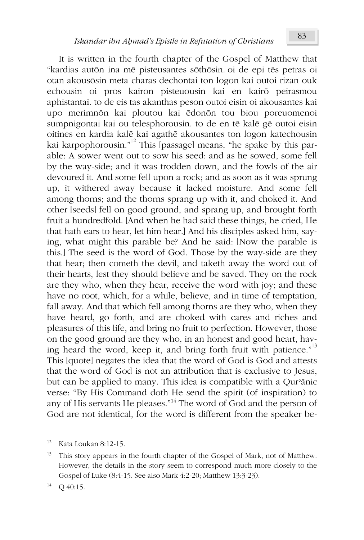It is written in the fourth chapter of the Gospel of Matthew that "kardias autōn ina mē pisteusantes sōthōsin. oi de epi tēs petras oi otan akousōsin meta charas dechontai ton logon kai outoi rizan ouk echousin oi pros kairon pisteuousin kai en kairō peirasmou aphistantai. to de eis tas akanthas peson outoi eisin oi akousantes kai upo merimnōn kai ploutou kai ēdonōn tou biou poreuomenoi sumpnigontai kai ou telesphorousin, to de en tē kalē gē outoi eisin oitines en kardia kalÉ kai agathÉ akousantes ton logon katechousin kai karpophorousin."<sup>12</sup> This [passage] means, "he spake by this parable: A sower went out to sow his seed: and as he sowed, some fell by the way-side; and it was trodden down, and the fowls of the air devoured it. And some fell upon a rock; and as soon as it was sprung up, it withered away because it lacked moisture. And some fell among thorns; and the thorns sprang up with it, and choked it. And other [seeds] fell on good ground, and sprang up, and brought forth fruit a hundredfold. [And when he had said these things, he cried, He that hath ears to hear, let him hear.] And his disciples asked him, saying, what might this parable be? And he said: [Now the parable is this.] The seed is the word of God. Those by the way-side are they that hear; then cometh the devil, and taketh away the word out of their hearts, lest they should believe and be saved. They on the rock are they who, when they hear, receive the word with joy; and these have no root, which, for a while, believe, and in time of temptation, fall away. And that which fell among thorns are they who, when they have heard, go forth, and are choked with cares and riches and pleasures of this life, and bring no fruit to perfection. However, those on the good ground are they who, in an honest and good heart, having heard the word, keep it, and bring forth fruit with patience."<sup>13</sup> This [quote] negates the idea that the word of God is God and attests that the word of God is not an attribution that is exclusive to Jesus, but can be applied to many. This idea is compatible with a Qur'ānic verse: "By His Command doth He send the spirit (of inspiration) to any of His servants He pleases."<sup>14</sup> The word of God and the person of God are not identical, for the word is different from the speaker be-

 $\overline{a}$ 

 $12$  Kata Loukan 8:12-15.

<sup>&</sup>lt;sup>13</sup> This story appears in the fourth chapter of the Gospel of Mark, not of Matthew. However, the details in the story seem to correspond much more closely to the Gospel of Luke (8:4-15. See also Mark 4:2-20; Matthew 13:3-23).

 $^{14}$  Q 40:15.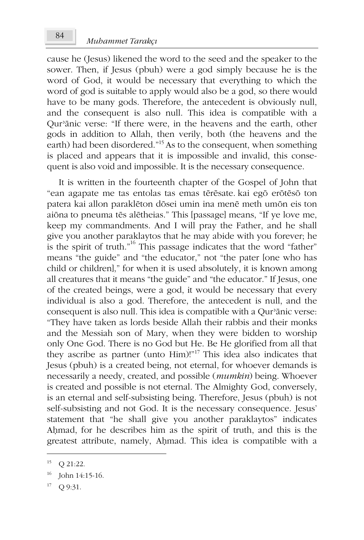cause he (Jesus) likened the word to the seed and the speaker to the sower. Then, if Jesus (pbuh) were a god simply because he is the word of God, it would be necessary that everything to which the word of god is suitable to apply would also be a god, so there would have to be many gods. Therefore, the antecedent is obviously null, and the consequent is also null. This idea is compatible with a Qur'anic verse: "If there were, in the heavens and the earth, other gods in addition to Allah, then verily, both (the heavens and the earth) had been disordered."<sup>15</sup> As to the consequent, when something is placed and appears that it is impossible and invalid, this consequent is also void and impossible. It is the necessary consequence.

It is written in the fourteenth chapter of the Gospel of John that "ean agapate me tas entolas tas emas tērēsate. kai egō erōtēsō ton patera kai allon paraklēton dōsei umin ina menē meth umōn eis ton aiona to pneuma tēs alētheias." This [passage] means, "If ye love me, keep my commandments. And I will pray the Father, and he shall give you another paraklaytos that he may abide with you forever; he is the spirit of truth."<sup>16</sup> This passage indicates that the word "father" means "the guide" and "the educator," not "the pater [one who has child or children]," for when it is used absolutely, it is known among all creatures that it means "the guide" and "the educator." If Jesus, one of the created beings, were a god, it would be necessary that every individual is also a god. Therefore, the antecedent is null, and the consequent is also null. This idea is compatible with a Qur'anic verse: "They have taken as lords beside Allah their rabbis and their monks and the Messiah son of Mary, when they were bidden to worship only One God. There is no God but He. Be He glorified from all that they ascribe as partner (unto Him)!"<sup>17</sup> This idea also indicates that Jesus (pbuh) is a created being, not eternal, for whoever demands is necessarily a needy, created, and possible (mumkin) being. Whoever is created and possible is not eternal. The Almighty God, conversely, is an eternal and self-subsisting being. Therefore, Jesus (pbuh) is not self-subsisting and not God. It is the necessary consequence. Jesus' statement that "he shall give you another paraklaytos" indicates Ahmad, for he describes him as the spirit of truth, and this is the greatest attribute, namely, Ahmad. This idea is compatible with a

<sup>15</sup> Q 21:22.

<sup>16</sup> John 14:15-16.

<sup>17</sup> Q 9:31.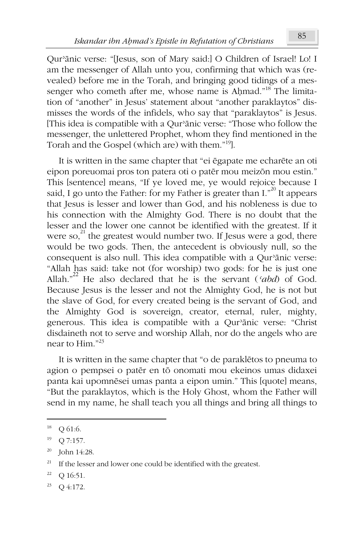Qur'ānic verse: "[Jesus, son of Mary said:] O Children of Israel! Lo! I am the messenger of Allah unto you, confirming that which was (revealed) before me in the Torah, and bringing good tidings of a messenger who cometh after me, whose name is Ahmad."<sup>18</sup> The limitation of "another" in Jesus' statement about "another paraklaytos" dismisses the words of the infidels, who say that "paraklaytos" is Jesus. [This idea is compatible with a Qur'ānic verse: "Those who follow the messenger, the unlettered Prophet, whom they find mentioned in the Torah and the Gospel (which are) with them."<sup>19</sup>].

It is written in the same chapter that "ei égapate me echaréte an oti eipon poreuomai pros ton patera oti o patēr mou meizōn mou estin." This [sentence] means, "If ye loved me, ye would rejoice because I said, I go unto the Father: for my Father is greater than  $I^{20}$  It appears that Jesus is lesser and lower than God, and his nobleness is due to his connection with the Almighty God. There is no doubt that the lesser and the lower one cannot be identified with the greatest. If it were so, $^{21}$  the greatest would number two. If Jesus were a god, there would be two gods. Then, the antecedent is obviously null, so the consequent is also null. This idea compatible with a Qur'ānic verse: "Allah has said: take not (for worship) two gods: for he is just one Allah."<sup>22</sup> He also declared that he is the servant (*abd*) of God. Because Jesus is the lesser and not the Almighty God, he is not but the slave of God, for every created being is the servant of God, and the Almighty God is sovereign, creator, eternal, ruler, mighty, generous. This idea is compatible with a Qur'ānic verse: "Christ disdaineth not to serve and worship Allah, nor do the angels who are near to Him."<sup>23</sup>

It is written in the same chapter that "o de paraklÉtos to pneuma to agion o pempsei o patēr en tō onomati mou ekeinos umas didaxei panta kai upomnēsei umas panta a eipon umin." This [quote] means, "But the paraklaytos, which is the Holy Ghost, whom the Father will send in my name, he shall teach you all things and bring all things to

 $\overline{a}$ 

 $18$  Q 61:6.

 $19$  Q 7:157.

 $20$  John 14:28.

 $21$  If the lesser and lower one could be identified with the greatest.

 $22$  Q 16:51.

 $23$  Q 4:172.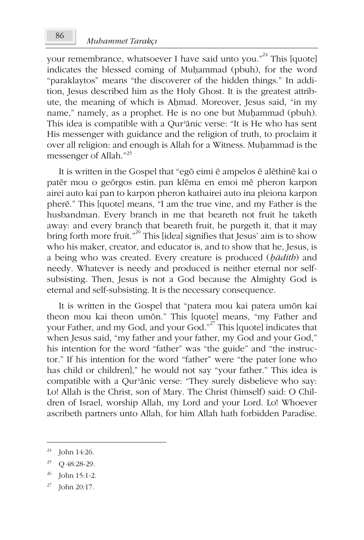your remembrance, whatsoever I have said unto you."<sup>24</sup> This [quote] indicates the blessed coming of Muhammad (pbuh), for the word "paraklaytos" means "the discoverer of the hidden things." In addition, Jesus described him as the Holy Ghost. It is the greatest attribute, the meaning of which is Ahmad. Moreover, Jesus said, "in my name," namely, as a prophet. He is no one but Muhammad (pbuh). This idea is compatible with a Qur'anic verse: "It is He who has sent His messenger with guidance and the religion of truth, to proclaim it over all religion: and enough is Allah for a Witness. Muhammad is the messenger of Allah."<sup>25</sup>

It is written in the Gospel that "egō eimi ē ampelos ē alēthinē kai o patēr mou o georgos estin pan klēma en emoi mē pheron karpon airei auto kai pan to karpon pheron kathairei auto ina pleiona karpon pherē." This [quote] means, "I am the true vine, and my Father is the husbandman. Every branch in me that beareth not fruit he taketh away: and every branch that beareth fruit, he purgeth it, that it may<br>bring forth more fruit."<sup>26</sup> This [idea] signifies that Jesus' aim is to show who his maker, creator, and educator is, and to show that he, Jesus, is a being who was created. Every creature is produced (badith) and needy. Whatever is needy and produced is neither eternal nor selfsubsisting. Then, Jesus is not a God because the Almighty God is eternal and self-subsisting. It is the necessary consequence.

It is written in the Gospel that "patera mou kai patera umon kai theon mou kai theon umon." This [quote] means, "my Father and your Father, and my God, and your God."<sup>27</sup> This [quote] indicates that when Jesus said, "my father and your father, my God and your God," his intention for the word "father" was "the guide" and "the instructor." If his intention for the word "father" were "the pater [one who has child or children]," he would not say "your father." This idea is compatible with a Qur'anic verse: "They surely disbelieve who say: Lo! Allah is the Christ, son of Mary. The Christ (himself) said: O Children of Israel, worship Allah, my Lord and your Lord. Lo! Whoever ascribeth partners unto Allah, for him Allah hath forbidden Paradise.

<sup>24</sup> John 14:26.

<sup>25</sup> Q 48:28-29.

<sup>26</sup> John 15:1-2.

John 20:17.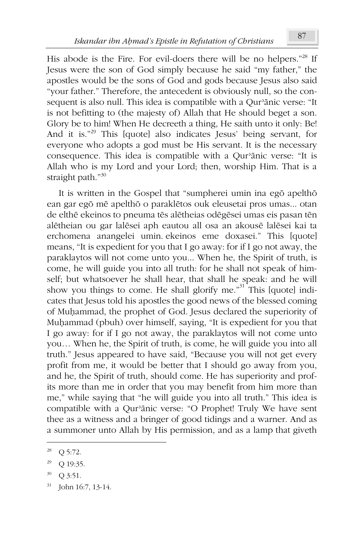His abode is the Fire. For evil-doers there will be no helpers."28 If Jesus were the son of God simply because he said "my father," the apostles would be the sons of God and gods because Jesus also said "your father." Therefore, the antecedent is obviously null, so the consequent is also null. This idea is compatible with a Qur'anic verse: "It is not befitting to (the majesty of) Allah that He should beget a son. Glory be to him! When He decreeth a thing, He saith unto it only: Be! And it is."<sup>29</sup> This [quote] also indicates Jesus' being servant, for everyone who adopts a god must be His servant. It is the necessary consequence. This idea is compatible with a Qur'anic verse: "It is Allah who is my Lord and your Lord; then, worship Him. That is a straight path."30

It is written in the Gospel that "sumpherei umin ina ego apeltho" ean gar ego mē apelthō o paraklētos ouk eleusetai pros umas... otan de elthē ekeinos to pneuma tēs alētheias odēgēsei umas eis pasan tēn alētheian ou gar lalēsei aph eautou all osa an akousē lalēsei kai ta erchomena anangelei umin ekeinos eme doxasei." This [quote] means, "It is expedient for you that I go away: for if I go not away, the paraklaytos will not come unto you... When he, the Spirit of truth, is come, he will guide you into all truth: for he shall not speak of himself; but whatsoever he shall hear, that shall he speak: and he will show you things to come. He shall glorify me.<sup>31</sup> This [quote] indicates that Jesus told his apostles the good news of the blessed coming of Muhammad, the prophet of God. Jesus declared the superiority of Muhammad (pbuh) over himself, saying, "It is expedient for you that I go away: for if I go not away, the paraklaytos will not come unto you... When he, the Spirit of truth, is come, he will guide you into all truth." Jesus appeared to have said, "Because you will not get every profit from me, it would be better that I should go away from you, and he, the Spirit of truth, should come. He has superiority and profits more than me in order that you may benefit from him more than me," while saying that "he will guide you into all truth." This idea is compatible with a Qur'anic verse: "O Prophet! Truly We have sent thee as a witness and a bringer of good tidings and a warner. And as a summoner unto Allah by His permission, and as a lamp that giveth

30 Q 3:51.

<sup>28</sup> Q 5:72.

<sup>29</sup> Q 19:35.

 $31\,$ John 16:7, 13-14.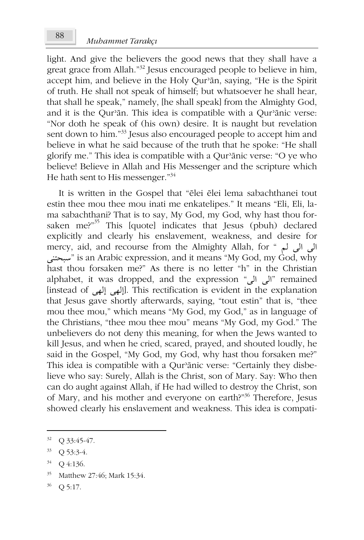light. And give the believers the good news that they shall have a great grace from Allah."<sup>32</sup> Jesus encouraged people to believe in him, accept him, and believe in the Holy Qur'ān, saying, "He is the Spirit of truth. He shall not speak of himself; but whatsoever he shall hear, that shall he speak," namely, [he shall speak] from the Almighty God, and it is the Qur'ān. This idea is compatible with a Qur'ānic verse: "Nor doth he speak of (his own) desire. It is naught but revelation sent down to him."<sup>33</sup> Jesus also encouraged people to accept him and believe in what he said because of the truth that he spoke: "He shall glorify me." This idea is compatible with a Qur'ānic verse: "O ye who believe! Believe in Allah and His Messenger and the scripture which He hath sent to His messenger."<sup>34</sup>

It is written in the Gospel that "élei élei lema sabachthanei tout estin thee mou thee mou inati me enkatelipes." It means "Eli, Eli, lama sabachthani? That is to say, My God, my God, why hast thou forsaken me?"<sup>35</sup> This [quote] indicates that Jesus (pbuh) declared explicitly and clearly his enslavement, weakness, and desire for mercy, aid, and recourse from the Almighty Allah, for " الى الى أب سبحتنى is an Arabic expression, and it means "My God, my God, why" hast thou forsaken me?" As there is no letter "h" in the Christian alphabet, it was dropped, and the expression "إلى إلى أألف" remained [instead of إِلٰهِي إِلٰهِي]. This rectification is evident in the explanation that Jesus gave shortly afterwards, saying, "tout estin" that is, "thee mou thee mou," which means "My God, my God," as in language of the Christians, "thee mou thee mou" means "My God, my God." The unbelievers do not deny this meaning, for when the Jews wanted to kill Jesus, and when he cried, scared, prayed, and shouted loudly, he said in the Gospel, "My God, my God, why hast thou forsaken me?" This idea is compatible with a Qur'ānic verse: "Certainly they disbelieve who say: Surely, Allah is the Christ, son of Mary. Say: Who then can do aught against Allah, if He had willed to destroy the Christ, son of Mary, and his mother and everyone on earth?"<sup>36</sup> Therefore, Jesus showed clearly his enslavement and weakness. This idea is compati-

 $\overline{a}$ 

 $32$  Q 33:45-47.

<sup>33</sup> Q 53:3-4.

<sup>34</sup> Q 4:136.

<sup>35</sup> Matthew 27:46; Mark 15:34.

 $36$  Q 5:17.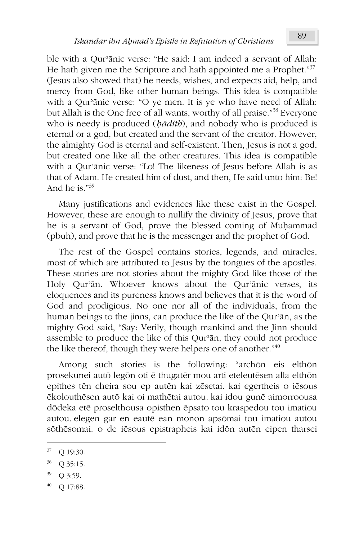ble with a Qur'ānic verse: "He said: I am indeed a servant of Allah: He hath given me the Scripture and hath appointed me a Prophet."<sup>37</sup> (Jesus also showed that) he needs, wishes, and expects aid, help, and mercy from God, like other human beings. This idea is compatible with a Qur'ānic verse: "O ye men. It is ye who have need of Allah: but Allah is the One free of all wants, worthy of all praise."<sup>38</sup> Everyone who is needy is produced (*bādith*), and nobody who is produced is eternal or a god, but created and the servant of the creator. However, the almighty God is eternal and self-existent. Then, Jesus is not a god, but created one like all the other creatures. This idea is compatible with a Qur'ānic verse: "Lo! The likeness of Jesus before Allah is as that of Adam. He created him of dust, and then, He said unto him: Be! And he is."<sup>39</sup>

Many justifications and evidences like these exist in the Gospel. However, these are enough to nullify the divinity of Jesus, prove that he is a servant of God, prove the blessed coming of Muhammad (pbuh), and prove that he is the messenger and the prophet of God.

The rest of the Gospel contains stories, legends, and miracles, most of which are attributed to Jesus by the tongues of the apostles. These stories are not stories about the mighty God like those of the Holy Qur'ān. Whoever knows about the Qur'ānic verses, its eloquences and its pureness knows and believes that it is the word of God and prodigious. No one nor all of the individuals, from the human beings to the jinns, can produce the like of the Qur'ān, as the mighty God said, "Say: Verily, though mankind and the Jinn should assemble to produce the like of this Qur'ān, they could not produce the like thereof, though they were helpers one of another."<sup>40</sup>

Among such stories is the following: "archon eis elthon prosekunei autō legōn oti ē thugatēr mou arti eteleutēsen alla elthōn epithes tēn cheira sou ep autēn kai zēsetai. kai egertheis o iēsous ÉkolouthÉsen aut× kai oi mathÉtai autou. kai idou gunÉ aimorroousa dōdeka etē proselthousa opisthen ēpsato tou kraspedou tou imatiou autou. elegen gar en eautē ean monon apsōmai tou imatiou autou sōthēsomai. o de iēsous epistrapheis kai idōn autēn eipen tharsei

1

- <sup>39</sup> Q 3:59.
- $^{40}$  Q 17:88.

<sup>37</sup> Q 19:30.

<sup>38</sup> Q 35:15.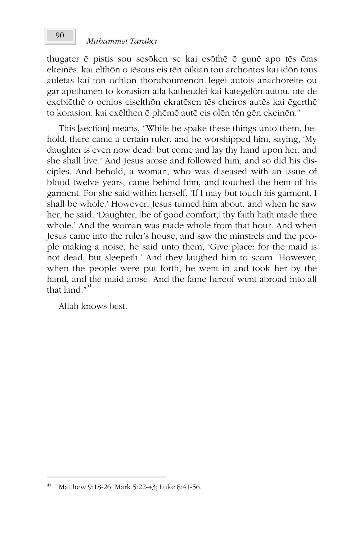thugater ē pistis sou sesōken se kai esōthē ē gunē apo tēs ōras ekeinēs, kai elthōn o jēsous eis tēn oikian tou archontos kai idōn tous aulētas kai ton ochlon thoruboumenon, legei autois anachōreite ou gar apethanen to korasion alla katheudei kai kategelön autou. ote de exeblēthē o ochlos eiselthōn ekratēsen tēs cheiros autēs kai ēgerthē to korasion. kai exēlthen ē phēmē autē eis olēn tēn gēn ekeinēn."

This [section] means, "While he spake these things unto them, behold, there came a certain ruler, and he worshipped him, saying, 'My daughter is even now dead: but come and lay thy hand upon her, and she shall live.' And Jesus arose and followed him, and so did his disciples. And behold, a woman, who was diseased with an issue of blood twelve years, came behind him, and touched the hem of his garment: For she said within herself, 'If I may but touch his garment, I shall be whole.' However, Jesus turned him about, and when he saw her, he said, 'Daughter, [be of good comfort,] thy faith hath made thee whole.' And the woman was made whole from that hour. And when Jesus came into the ruler's house, and saw the minstrels and the people making a noise, he said unto them, 'Give place: for the maid is not dead, but sleepeth.' And they laughed him to scorn. However, when the people were put forth, he went in and took her by the hand, and the maid arose. And the fame hereof went abroad into all that land "<sup>41</sup>

Allah knows best.

Matthew 9:18-26; Mark 5:22-43; Luke 8:41-56.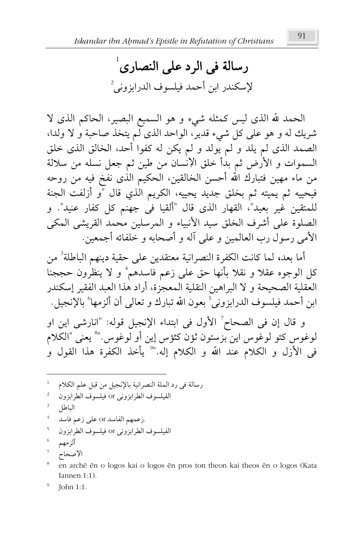رسالة في الرد على النصارى<sup>1</sup> لإسكندر ابن أحمد فيلسوف الدرابزوني<sup>2</sup>

الحمد لله الذي ليس كمثله شيء و هو السميع البصير، الحاكم الذي لا شريك له و هو على كل شيء قدير، الواحد الذي لم يتخذ صاحبة و لا ولدا، الصمد الذي لم يلد و لم يولد و لم يكن له كفوا أحد، الخالق الذي خلق السموات و الأرض ثم بدأ خلق الإنسان من طين ثم جعل نسله من سلالة من ماء مهين فتبارك الله أحسن الخالقين، الحكيم الذى نفخ فيه من روحه فيحييه ثم يميته ثم بخلق جديد يحييه، الكريم الٰذي قال "و أزلفت الجنة للمتقين غير بعيد"، القهار الذي قال "ألقيا في جهنم كل كفار عنيد". و الصلوة على أشرف الخلق سيد الأنبياء و المرسلين محمد القريشى المكى الأمي رسول رب العالمين و على آله و أصحابه و خلفائه أجمعين.

أما بعد، لما كانت الكفرة النصرانية معتقدين على حقية دينهم الباطلة<sup>3</sup> من كل الوجوه عقلاً و نقلاً بأنها حق على زعم فاسدهم ُ و لا ينظِّرون حججناً العقلية الصحيحة و لا البراهين النقلية المعجزة، أراد هذا العبد الفقير إسكندر ابن أحمد فيلسوف الدرابزوني<sup>5</sup> بعون الله تبارك و تعالى أن ألزمها٬ بالإنجيل.

و قال إن في الصحاح ؒ الأول في ابتداء الإنجيل قوله: "انارشي اين او لوغوس كئو لوغوس اين بزستون ثؤن كثؤس إين أو لوغوس."° يعنى "الكلام <sub>في</sub> الأزل و الكلام عند الله و الكلام إله."<sup>9</sup> يأخذ الكفرة هذا القول و

en archē ēn o logos kai o logos ēn pros ton theon kai theos ēn o logos (Kata Iannen  $1:1$ ).

John 1:1.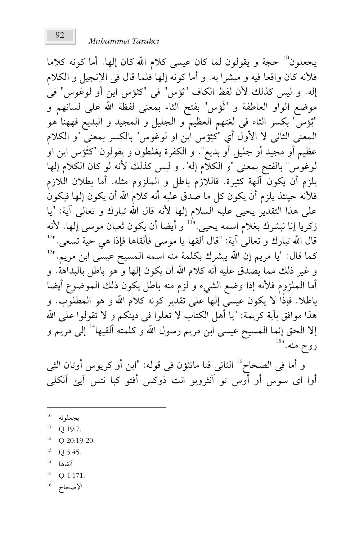يجعلون<sup>10</sup> حجة و يقولون لما كان عيسى كلام الله كان إلها. أما كونه كلاما فلأنه كان واقعا فيه و مبشرا به. و أما كونه إلها فلما قال في الإنجيل و الكلام إله. و ليس كذلك لأن لفظ الكاف "ثؤس" في "كثؤس اين أو لوغوس" في موضع الواو العاطفة و "ثَوْس" بفتح الثاء بمعنى لفظة الله على لسانهم و "ثِؤس" بكسر الثاء في لغتهم العظيم و الجليل و المجيد و البديع فههنا هو المعنى الثاني لا الأول أي "كثِؤس اين او لوغوس" بالكسر بمعنى "و الكلام عظيم أو مجيد أو جليل أو بديع". و الكفرة يغلطون و يقولون "كثَؤس اين اوْ لوغوس" بالفتح بمعنى "و الكلَّام إله". و ليس كذلك لأنه لو كان الكلام إلها يلزم أن يكون آلهة كثيرة. فاللازم باطل و الملزوم مثله. أما بطلان اللازم فلأنه حينئذ يلزم أن يكون كل ما صدق عليه أنه كلام الله أن يكون إلها فيكون على هذا التقدير يحيى عليه السلام إلها لأنه قال الله تبارك و تعالى آية: "يا زكريا إنا نبشرك بغلام اسمه يحيى.''<sup>11</sup> و أيضا أن يكون ثعبان موسى إلها. لأنه قال الله تبارك و تعالى آية: "قال ألقها يا موسى فألقاها فإذا هى حية تسعى." $^{121}$ كما قال: "يا مريم إن الله يبشرك بكلمة منه اسمه المسيح عيسًى ابن مريم.''<sup>13</sup> و غير ذلك مما يصدق عليه أنه كلام الله أن يكون إلها و هو باطل بالبداهة. و أما الملزوم فلأنه إذا وضع الشيء و لزم منه باطل يكون ذلك الموضوع أيضا باطلا. فإذًا لا يكون عيسى إلها على تقدير كونه كلام الله و هو المطلوب. و هذا موافق بآية كريمة: "يا أهل الكتاب لا تغلوا في دينكم و لا تقولوا على الله إلا الحق إنما المسيح عيسى ابن مريم رسول الله و كلمته ألقيها<sup>14</sup> إلى مريم و روح منه.''<sup>15</sup>

و أما في الصحاح أ الثاني قتا ماتثؤن في قوله: "ابن أو كريوس أوتان الثي أوا اي سوس أو أوس تو آنثروبو انت ذوكس أفتو كبا نتس آيئ آنكلي

- $^{10}$  يجعلونه
- $11$ Q 19:7.
- $12$  Q 20:19-20.
- $13$  Q 3:45.
- $14 -$ ألقاها
- 15 Q 4:171.

 $^{16}$  الإصحاح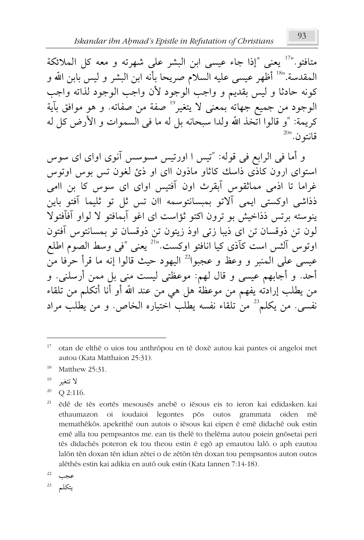متافتو.''<sup>17</sup> يعني "إذا جاء عيسي ابن البشر على شهرته و معه كل الملائكة المقدسة.''<sup>18</sup> أظهر عيسى عليه السلام صريحا بأنه ابن البشر و ليس بابن الله و كونه حادثا و ليس بقديم و واجب الوجود لأن واجب الوجود لذاته واجب الوجود من جميع جهاته بمعنى لا يتغير<sup>19</sup> صفة من صفاته. و هو موافق بآية كريمة: "و قالوا اتخذ الله ولدا سبحانه بل له ما في السموات و الأرض كل له  $^{20}$ قانتو ن

و أما في الرابع في قوله: "تيس ا اورتيس مسوسس آنوي اواي اي سوس استوای ارون کاذی ذاسك کاثاو ماذون اای او ذئ لغون تس بوس اوتوس غراما تا اذمی مماثقومی آبقرث اون آفتیس اوای ای سومی کا بن اامی ذذاشی اوکستی ایمی آلاتو بمبسانتوسمه اان تس ثل تو ثلیما آفتو باین ينوسته برتس ذذاخيش بو ترون اكتو ثؤاست اي اغو آبمافتو لا لواو آفآفتولا لون تن ذوقسان تن اى ذيبا زتى اوذ زيتون تن ذوقسان تو بمسانتوس آفتون اوتوس آلشس است كآذى كيا انافتو اوكست.''<sup>21</sup> يعنى "في وسط الصوم اطلع عيسى على المنبر و وعظ و عجبوا $^{22}$  اليهود حيث قالوا إنه ما قرأ حرفا من أحد. و أجابهم عيسى و قال لهم: موعظتى ليست منى بل ممن أرسلني. و من يطلب إرادته يفهم من موعظة هل هي من عند الله أو أنا أتكلم من تلقاء نفسي. من يكلم<sup>23</sup> من تلقاء نفسه يطلب اختياره الخاص. و من يطلب مراد

- 18 Matthew 25:31.
- 19 لا تتغــ
- 20 Q 2:116.
- 21 ēdē de tēs eortēs mesousēs anebē o iēsous eis to ieron kai edidasken kai ethaumazon oi ioudaioi legontes pōs outos grammata oiden mē memathēkōs. apekrithē oun autois o iēsous kai eipen ē emē didachē ouk estin emē alla tou pempsantos me. ean tis thelē to thelēma autou poiein gnōsetai peri tēs didachēs poteron ek tou theou estin ē egō ap emautou lalō. o aph eautou lalon ten doxan ten idian zetei o de zeton ten doxan tou pempsantos auton outos alēthēs estin kai adikia en autō ouk estin (Kata Iannen 7:14-18).

$$
\begin{array}{cc}\n \stackrel{22}{\longrightarrow} & \stackrel{22}{\longrightarrow} \\
\stackrel{23}{\longrightarrow} & \stackrel{1}{\longrightarrow} \\
\end{array}
$$

<sup>17</sup> otan de elthē o uios tou anthrōpou en tē doxē autou kai pantes oi angeloi met autou (Kata Matthaion 25:31).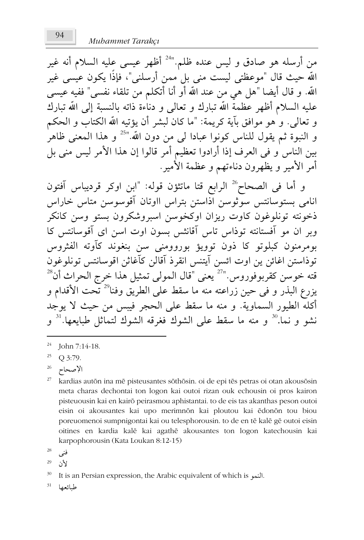من أرسله هو صادق و ليس عنده ظلم."<sup>24</sup> أظهر عيسى عليه السلام أنه غير الله حيث قال "موعظتي ليست مني بل ممن أرسلني"، فإذًا يكون عيسى غير الله. و قال أيضا "هل هي من عند الله أو أنا أتكلم من تلقاء نفسي" ففيه عيسى عليه السلام أظهر عظمة الله تبارك و تعالى و دناءة ذاته بالنسبة إلى الله تبارك و تعالى. و هو موافق بآية كريمة: "ما كان لبشر أن يؤتيه الله الكتاب و الحكم و النبوة ثم يقول للناس كونوا عبادا ل<sub>ّ</sub>ى من دون الله."<sup>25</sup> و هذا المعنى ظاهر<sup>'</sup> بين الناس و في العرف إذا أرادوا تعظيم أمر قالوا إن هذا الأمر ليس منى بل أمر الأمير و يظهرون دناءتهم و عظمة الأمير .

و أما في الصحاح<sup>26</sup> الرابع قتا ماتثؤن قوله: "ابن اوكر قرديباس آفتون انامی بستوسانتس سوثوسن اذاستن بتراس ااوتان آقوسوسن متاس خاراس ذخونته تونلوغون كاوت ريزان اوكخوسن اسبروشكرون بستو وسن كانكر وبر ان مو آفستانته توذاس تاس آقانثس بسون اوت اسن ای آقوسانتس کا بومرمنون كبلوتو كا ذون توويؤ بوروومني سن بنغوند كآوته الفثروس توذاستن اغائن ين اوت ائسن آيتنس انقرذ آقالن كآغاثن اقوسانتس تونلوغون قته خوسن كقربوفوروس.''<sup>27</sup> يعني "قال المولى تمثيل هذا خرج الحراث أن<sup>28</sup> يزرع البذر و في حين زراعته منه ما سقط على الطريق وفنا<sup>29</sup> تـحت الأقدام و أكله الطيور السماوية. و منه ما سقط على الحجر فيبس من حيث لا يوجد نشو و نما.<sup>30</sup> و منه ما سقط على الشوك فغرقه الشوك لتماثل طبايعها.<sup>31</sup> و

- 27 kardias autōn ina mē pisteusantes sōthōsin. oi de epi tēs petras oi otan akousōsin meta charas dechontai ton logon kai outoi rizan ouk echousin oi pros kairon pisteuousin kai en kairō peirasmou aphistantai. to de eis tas akanthas peson outoi eisin oi akousantes kai upo merimnon kai ploutou kai edonon tou biou poreuomenoi sumpnigontai kai ou telesphorousin. to de en tē kalē gē outoi eisin oitines en kardia kalē kai agathē akousantes ton logon katechousin kai karpophorousin (Kata Loukan 8:12-15)
- 28 فنو
- 29 لأن

31 طىائعها

<sup>24</sup> John 7:14-18.

<sup>25</sup> O 3:79.

<sup>26</sup> الإصحاح

<sup>30</sup> It is an Persian expression, the Arabic equivalent of which is ...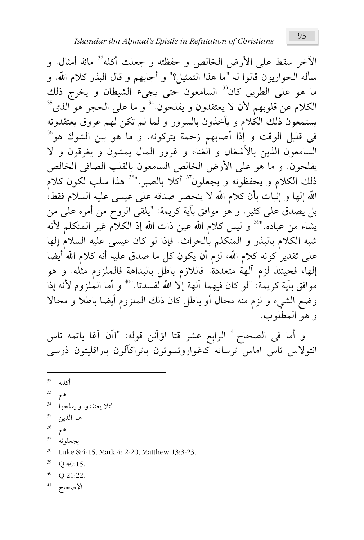الآخر سقط على الأرض الخالص و حفظته و جعلت أكله<sup>32</sup> مائة أمثال. و سأله الحواريون قالوا له "ما هذا التمثيل؟" و أجابهم و قال البذر كلام الله. و ما هو على الطريق كان<sup>33</sup> السامعون حتى يجيء الشيطان و يخرج ذلك الكلام عن قلوبهم لأن لا يعتقدون و يفلحون<sup>81</sup> و ما على الحجر هو الذى<sup>35</sup> يستمعون ذلك الكلام و يأخذون بالسرور و لما لم تكن لهم عروق يعتقدونه في قليل الوقت و إذا أصابهم زحمة يتركونه. و ما هو بين الشوك هو<sup>36</sup> السامعون الذين بالأشغال و الغناء و غرور المال يمشون و يغرقون و لا يفلحون. و ما هو على الأرض الخالص السامعون بالقلب الصافي الخالص ذلك الكلام و يحفظونه و يجعلون<sup>37</sup> أكلا بالصبر.''<sup>38</sup> هذا سلب لكون كلام الله إلها و إثبات بأن كلام الله لا ينحصر صدقه على عيسى عليه السلام فقط، بل يصدق على كثير. و هو موافق بآية كريمة: "يلقى الروح من أمره على من يشاء من عباده."<sup>39</sup> و ليس كلام الله عين ذات الله إذ الكلام غير المتكلم لأنه شبه الكلام بالبذر و المتكلم بالحراث. فإذا لو كان عيسى عليه السلام إلها على تقدير كونه كلام الله، لزم أن يكون كل ما صدق عليه أنه كلام الله أيضا إلها، فحينئذ لزم ألهة متعددة. فاللازم باطل بالبداهة فالملزوم مثله. و هو موافق بآية كريمة: "لو كان فيهما آلهة إلا الله لفسدتا."<sup>40</sup> و أما الملزوم لأنه إذا وضع الشيء و لزم منه محال أو باطل كان ذلك الملزوم أيضا باطلاً و محالاً و هو المطلوب.

و أما في الصحاح<sup>4</sup> الرابع عشر قتا اؤآنن قوله: "اآن آغا باتمه تاس انتولاس تاس اماس ترساته كاغواروتسوتون باتراكآلون باراقليتون ذوسي

- 33
- 34 لئلا يعتقدوا ويفلحوا
- 35 هم الذين
- 36 هم
- $37\,$ يجعلونه
- 38 Luke 8:4-15; Mark 4: 2-20; Matthew 13:3-23.
- 39 Q 40:15.
- $40 -$ Q 21:22.

الإصحاح أ

 $32$ أكاته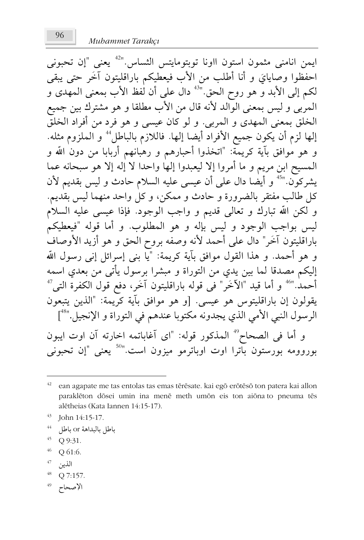Muhammet Tarakcı

ايمن انامني مثمون استون ااونا توبتومايتس الثساس."<sup>42</sup> يعني "إن تحبوني احفظوا وصايايَ و أنا أطلب من الأب فيعطيكم باراقليتون آخَر حتى يبقى لكم إلى الأبد وَّ هو روح الحق."<sup>43</sup> دال على أن لٰفظ الأب بمعنى المهدى و المبرِّبي و ليس بمعنى الوَّالد لأنه قال من الأب مطلقًا و هو مشترك بين جميع الخلق بمعنى المهدى و المربى. و لو كان عيسى و هو فرد من أفراد الخلقّ إلها لزم أن يكون جميع الأفراد أيضا إلها. فاللازم بالباطلُّ و الملزوم مثله. و هو مُوافق بآية كريمة: "اتخذوا أحبارهم و رهبانهم أربابا من دون الله و المسيح ابن مريم و ما أمروا إلا ليعبدوا إلها واحدا لا إله إلا هو سبحانه عما يشركون."<sup>45</sup> و أيضا دال على أن عيسى عليه السلام حادث و ليس بقديم لأن كل طالب مفتقر بالضرورة و حادث و ممكن، و كل واحد منهما ليس بقديم. و لكن الله تبارك و تعالى قديم و واجب الوجود. فإذا عيسى عليه السلام ليس بواجب الوجود و ليس بإله و هو المطلوب. و أما قوله "فيعطيكم باراقليتون آخَر" دال على أحمد لأنه وصفه بروح الحق و هو أزيد الأوصاف و هو أحمد. و هذا القول موافق بآية كريمة: "يا بني إسرائل إني رسول الله إليكم مصدقًا لما بين يدي من التوراة و مبشرًا برسول يأتي من بعدي اسمه أحمد."<sup>46</sup> و أما قيد "الآخَر" في قوله باراقليتون آخَر، دفع قول الكفرة التي<sup>47</sup> يقولون إن باراقليتوس هو عيسى. [و هو موافق بآية كريمة: "الذين يتبعون الرسول النبي الأمي الذي يجدونه مكتوبا عندهم في التوراة و الإنجيل."<sup>4</sup>"] و أما في الصحاح" المذكور قوله: "اي آغاباتمه اخارته آن اوت ايبون بوروومه بورستون بآترا اوت اوباترمو ميزون است."<sup>50</sup> يعنى "إن تحبونى

- 44 باطل بالبداهة or باطل
- Q 9:31.
- 46 O 61:6.
- 47 الذين

$$
^{48}\quad Q\; 7:157.
$$

الإصحاح 49

ean agapate me tas entolas tas emas tērēsate. kai egō erōtēsō ton patera kai allon paraklēton dōsei umin ina menē meth umōn eis ton aiōna to pneuma tēs alētheias (Kata Iannen 14:15-17).

John 14:15-17.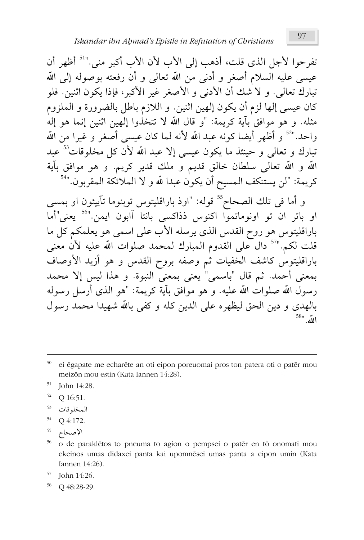تفرحوا لأجل الذي قلت، أذهب إلى الأب لأن الأب أكبر مني."' أظهر أن عيسى عليه السلام أصغر و أدنى من الله تعالى و أن رفعته بوصوله إلى الله تبارك تعالى. و لا شك أن الأدنى و الأصغر غير الأكبر، فإذا يكون اثنين. فلو كان عيسى إلها لزم أن يكون إلهين اثنين. و اللازم باطل بالضرورة و الملزوم مثله. و هو موافق بآية كريمة: "و قال الله لا تتخذوا إلهين اثنين إنما هو إله واحد."<sup>52</sup> و أظهر أيضا كونه عبد الله لأنه لما كان عيسى أصغر و غيرا من الله تبارك و تعالى و حينئذ ما يكون عيسى إلا عبد الله لأن كل مخلوقات<sup>53</sup> عبد الله و الله تعالى سلطان خالق قديم و ملك قدير كريم. و هو موافق بآية كريمة: "لن يستنكف المسيح أن يكون عبدا لله و لا الملائكة المقربون."<sup>54</sup>

و أما في تلك الصحاح<sup>55</sup> قوله: "اوذ باراقليتوس توبنوما تآييئون او بمسى او باتر ان تو اونوماتمواً اكنوس ذذاكسى بانتا آابون ايمن<sup>056</sup> يعنى أما باراقليتوس هو روح القدس الذي يرسله الأب على اسمي هو يعلمكم كل ما قلت لكم.''<sup>57</sup> دال على القدوم المبارك لمحمد صلوات الله عليه لأن معنى باراقليتوس كاشف الخفيات ثم وصفه بروح القدس و هو أزيد الأوصاف بمعنى أحمد. ثم قال "باسمي" يعني بمعنى النبوة. و هذا ليس إلا محمد رسول الله صلوات الله عليه. و هو موافق بآية كريمة: "هو الذي أرسل رسوله بالهدي و دين الحق ليظهره على الدين كله و كفي بالله شهيدا محمد رسول  $58$ "  $\mu$ <sup>58</sup>

- 51 John 14:28.
- 52 Q 16:51.
- 53 المخلوقات
- 54 O 4:172.
- الإصحاح 55
- o de paraklêtos to pneuma to agion o pempsei o patêr en tō onomati mou ekeinos umas didaxei panta kai upomnēsei umas panta a eipon umin (Kata Iannen  $14:26$ ).
- 57 John 14:26.
- <sup>58</sup> Q 48:28-29.

ei ēgapate me echarēte an oti eipon poreuomai pros ton patera oti o patēr mou meizōn mou estin (Kata Iannen 14:28).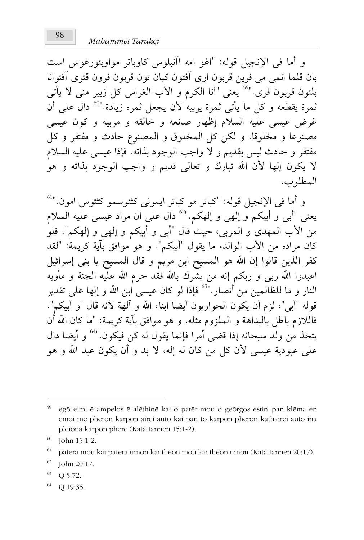و أما في الإنجيل قوله: "اغو امه اآنبلوس كاوياتر مواويئورغوس است بان قلما انمی می فرین قربون اری آفتون کبان تون قربون فرون قثری آفتوانا .<br>بلئون قربون َّفریّ "<sup>59</sup> یعنی "أنا الکرم و الأب الغراس کل زبیر منی لا یأتی ثمرة يقطعه و كل ما يأتى ثمرة يربيه لأن يجعل ثمره زيادة.''<sup>60</sup> دال عل<sub>ى،</sub> أنّ غرض عيسى عليه السلام إظهار صانعه و خالقه و مربيه و كون عيسى مصنوعا و مخلوقا. و لكن كل المخلوق و المصنوع حادث و مفتقر و كل مفتقر و حادث ليس بقديم و لا واجب الوجود بذاته. فإذا عيسى عليه السلام لا يكون إلها لأن الله تبارك و تعالى قديم و واجب الوجود بذاته و هو المطلوب.

و أما في الإنجيل قوله: "كباتر مو كباتر ايموني كثئوسمو كثئومر امون."<sup>61</sup> يعنى "أبى و أبيكم و إلهى و إلهكم.''<sup>63</sup> دال على ان مراد عيسى عليه السلام من الأب المهدى و المربى، حيث قال "أبى و أبيكم و إلهى و إلهكم". فلو كان مراده من الأب الوالد، ما يقول "أبيكم". و هو موافق بآية كريمة: "لقد كفر الذين قالوا إن الله هو المسيح ابن مريم و قال المسيح يا بني إسرائيل اعبدوا الله ربي و ربكم إنه من يشرك بالله فقد حرم الله علَّيه الجنة و مأويه النار و ما للظالمين من أنصار.''<sup>63</sup> فإذا لو كان عيسى ابن الله و إلها على تقدير قوله "أبي"، لزم أن يكون الحواريون أيضا ابناء الله و آلهة لأنه قال "و أبيكم". فاللازم باطل بالبداهة و الملزوم مثله. و هو موافق بآية كريمة: "ما كان الله أن يتخذ من ولد سبحانه إذا قضى أمرا فإنما يقول له كن فيكون."<sup>64</sup> و أيضا دال على عبودية عيسى لأن كلِّ من كان له إله، لا بد و أن يكون عبد الله و هو

<sup>59</sup> egō eimi ē ampelos ē alēthinē kai o patēr mou o geōrgos estin. pan klēma en emoi mē pheron karpon airei auto kai pan to karpon pheron kathairei auto ina pleiona karpon pherē (Kata Iannen 15:1-2).

John 15:1-2.

<sup>61</sup> patera mou kai patera umōn kai theon mou kai theon umōn (Kata Iannen 20:17).

<sup>62</sup> John 20:17.

<sup>63</sup> Q 5:72.

<sup>64</sup> Q 19:35.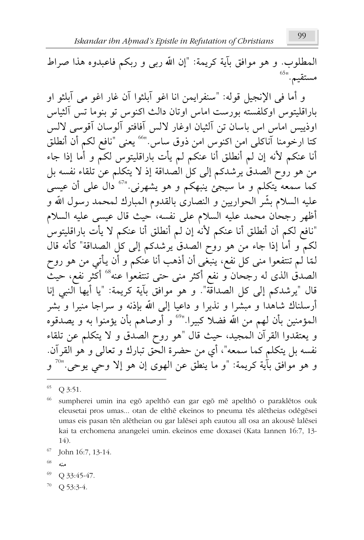المطلوب. و هو موافق بآية كريمة: "إن الله ربي و ربكم فاعبدوه هذا صراط مستقيم. "<sup>65</sup>

و أما في الإنجيل قوله: "سنفرايمن إنا اغو آبلثوا آن غار اغو مي آبلثو او باراقليتوس اوكلفسته بورست اماس اوتان دالث اكنوس تو بنوما تس آلثياس اوذييس إماس اس باسان تن آلثيان اوغار لالس آفافتو آلوسان آقوسي لالس كتا ارخومنا آناكلى امن اكنوس امن ذوق ساس.''<sup>66</sup> يعنى "نافع لكمّ أنّ أنطلق أنا عنكم لأنه إن لم أنطلق أنا عنكم لم يأت باراقليتوس لكمَّ و أمَّا إذا جاء من هو روح الصدق يرشدكم إلى كل الصداقة إذ لا يتكلم عن تلقاء نفسه بل کما سمعه ًیتکلم و ما سیجئ ینبهکم و هو یشهرنی<sup>07</sup> دال علمی أن عیسی عليه السلام بشّر الحواريين و النصارى بالقدوم المبارك لمحمد رسول الله و أظهر رجحان محمد عليه السلام على نفسه، حيث قال عيسى عليه السلام "نافع لكم أن أنطلق أنا عنكم لأنه إن لم أنطلق أنا عنكم لا يأت باراقليتوس لكمَّ و أما إذا جاء من هو روح الصدق يرشدكم إلى كل الصداقة" كأنه قال لَّمَّا لـم تنتفعوا مني كلِّ نفع، ينبغي أن أذهب أنا عنكم و أن يأتي من هو روح الصدق الذى له رجحان و نفع أكثر منى حتى تنتفعوا عنه°° أكثر نفع، حيث قال "يرشدكم إلى كل الصداقة". و هو موافق بآية كريمة: "يا أيها النبي إنا أرسلناك شاهدا و مبشرا و نذيرا و داعيا إلى الله بإذنه و سراجا منيرا و بشر المؤمنين بأن لهم من الله فضلا كبيرا."° و أوصاهم بأن يؤمنوا به و يصدقوه و يعتقدوا القرآن المجيد، حيث قال "هو روح الصدق و لا يتكلم عن تلقاء نفسه بل يتكلَّم كما سمعه"، أي من حضرة الحق تبارك و تعالى و هو القرآن. و هو موافق بآية كريمة: "و ما ينطق عن الهوى إن هو إلا وحى يوحى.''<sup>70</sup> و

- 68 منه
- 69 Q 33:45-47.
- Q 53:3-4.

Q 3:51.

sumpherei umin ina egō apelthō ean gar egō mē apelthō o paraklētos ouk eleusetai pros umas... otan de elthē ekeinos to pneuma tēs alētheias odēgēsei umas eis pasan tēn alētheian ou gar lalēsei aph eautou all osa an akousē lalēsei kai ta erchomena anangelei umin. ekeinos eme doxasei (Kata Iannen 16:7, 13-14).

<sup>67</sup> John 16:7, 13-14.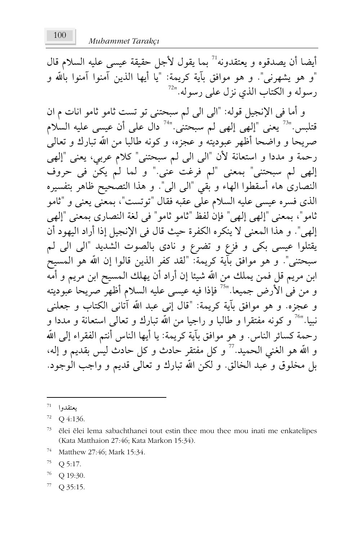أيضا أن يصدقوه و يعتقدونه<sup>71</sup> بما يقول لأجل حقيقة عيسى عليه السلام قال "و هو يشهرني". و هو موافق بآية كريمة: "يا أيها الذين آمنوا آمنوا بالله و رسوله و الكتاب الذي نزل على رسوله."<sup>72</sup>

و أما في الإنجيل قوله: "الي الي لم سبحتني تو تست ثامو ثامو انات م ان قتلبس."<sup>73</sup> يعني "إلهي إلهي لم سبحتني."<sup>74</sup> دال علي أن عيسى عليه السلام صربحا و واضحا أظهر عبوديته و عجزه، و كونه طالبا من الله تبارك و تعالى رحمة و مددا و استعانة لأن "الي الي لم سبحتني" كلام عربي، يعني "إلهي إلهي لم سبحتني" بمعنى "لم فرغت عني." و لما لم يكنّ في حروف النصارى هاء أسقطوا الهاء و بقي "الى الى". و هذا التصحيح ظاهر بتفسيره الذي فسره عيسى عليه السلام على عقبه فقال "توتست"، بمعنى يعني و "ثامو ثامو"، بمعنى "إلهي إلهي" فإن لفظ "ثامو ثامو" في لغة النصاري بمعنى "إلهي إلهي". و هذا المعنى لا ينكره الكفرة حيث قال في الإنجيل إذا أراد اليهود أن يقتلوا عيسى بكى و فزع و تضرع و نادى بالصوت الشديد "الى الى لم سبحتني". و هو موافق بآية كريمة: "لقد كفر الذين قالوا إن الله هو المسيح ابن مريم قل فمن يملك من الله شيئا إن أراد أن يهلك المسيح ابن مريم و أمه و من في الأرض جميعا.''<sup>75</sup> فإذا فيه عيسى عليه السلام أظهر صريحا عبوديته و عجزه. و هو موافق بآية كريمة: "قال إني عبد الله آتاني الكتاب و جعلني نبيا."<sup>76</sup> و كونه مفتقرا و طالبا و راجيا من الله تبارك و تعالى استعانة و مددا و رحمة كسائر الناس. و هو موافق بآية كريمة: يا أيها الناس أنتم الفقراء إلى الله و الله هو الغني الحميد. 77 و كل مفتقر حادث و كل حادث ليس بقديم و إله، بل مخلوق و عبد الخالق. و لكن الله تبارك و تعالى قديم و واجب الوجود.

- 76 Q 19:30.
- Q 35:15.

 $^{71}$  يعتقدوا

 $72$  Q 4:136.

<sup>73</sup> ēlei ēlei lema sabachthanei tout estin thee mou thee mou inati me enkatelipes (Kata Matthaion 27:46; Kata Markon 15:34).

<sup>74</sup> Matthew 27:46; Mark 15:34.

<sup>75</sup> Q 5:17.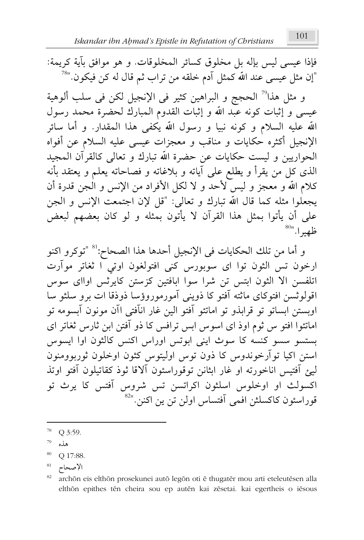فإذا عيسى ليس بإله بل مخلوق كسائر المخلوقات. و هو موافق بآية كريمة: "إن مثل عيسى عند اللّه كمثل آدم خلقه من تراب ثم قال له كن فيكون.''<sup>78</sup>

و مثل هذا<sup>79</sup> الحجج و البراهين كثير في الإنجيل لكن في سلب ألوهية عيسى و إثبات كونه عبد الله و إثبات القدوم المبارك لحضرة محمد رسول الله عليه السلام و كونه نبيا و رسول الله يكفي هذا المقدار. و أما سائر الإنجيل أكثره حكايات و مناقب و معجزات عيسى عليه السلام عن أفواه الحواريين و ليست حكايات عن حضرة الله تبارك و تعالى كالقرآن المجيد الذي كل من يقرأ و يطلع على آياته و بلاغاته و فصاحاته يعلم و يعتقد بأنه كلام الله و معجز و ليس لأحد و لا لكل الأفراد من الإنس و الجن قدرة أن يجعلْوا مثله كما قال الله تبارك و تعالى: "قل لإن اجتمعت الإنس و الجن على أن يأتوا بمثل هذا القرآن لا يأتون بمثله و لو كان بعضهم لبعض ظهيرا."<sup>80</sup>

و أما من تلك الحكايات في الإنجيل أحدها هذا الصحاح:<sup>81</sup> "توكرو اكنو ارخون تس الثون توا اي سوبورس كني افتولغون اوتى ا ثغاتر موآرت اتلفسن الا الثون ابتس تن شرا سوا ابافتين كزستن كايرثس اوااي سوس اقولوثسن افتوكاي ماثته آفتو كا ذويني آمورموروؤسا ذوذقا ات برو سلثو سا اويستن ابساتو تو قرابذو تو اماتئو آفتو الين غار انآفتي اآن مونون آبسومه تو اماتئوا افتو س ثوم اوذ اي اسوس ابس ترافس كا ذو آفتن ابن ثارس ثغاتر اي بستسو سسو کنسه کا سوث اینی ابوتس اوراس اکنس کالثون اوا ایسوس استن اکيا تو آرخوندوس کا ذون توس اوليتوس کثون اوخلون ثورپوومنون ليئ آفتيس اناخورته او غار ابثانن توقوراسئون آلاقا ثوذ كقاتيلون آفتو اوتذ اکسولث او اوخلوس اسلثون اکراتسن تس شروس آفتس کا پرث تو قوراسئون كاكسلثن افمي آفتساس اولن تن ين اكنن."<sup>82</sup>

- $78$  Q 3:59.
- 79 هذه
- $80\,$ Q 17:88.
- 81 الإصحاح

<sup>82</sup> archön eis elthön prosekunei autō legōn oti ē thugatēr mou arti eteleutēsen alla elthōn epithes tēn cheira sou ep autēn kai zēsetai. kai egertheis o iēsous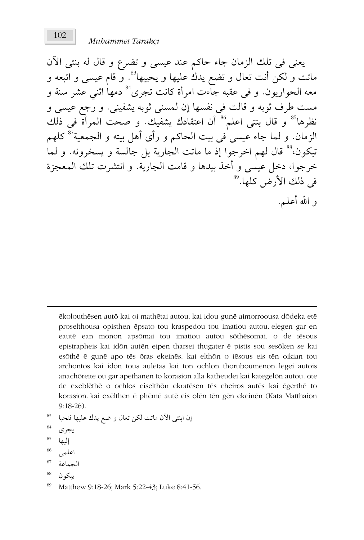يعني في تلك الزمان جاء حاكم عند عيسى و تضرع و قال له بنتي الآن ماتت و لكن أنت تعال و تضع يدكْ عليها و يحييها<sup>83</sup>. و قام عيسى و اتبعه و معه الحواريون. و في عقبه جاءت امرأة كانت تجرى<sup>84</sup> دمها اثنى عشر سنة و مست طرف ثوبه و قالت فی نفسها إن لمسنی ثوبه یشفینی. و رّجع عیسی و نظرها<sup>85</sup> و قال بنتى اعلم<sup>86</sup> أن اعتقادك يشفيك. و صحت المرأة فى ذلك الزمان. و لما جاء عيسى فى بيت الحاكم و رأى أهل بيته و الجمعية<sup>57</sup> كلهم تبكون،" قال لهم اخرجوا إذ ما ماتت الجارية بل جالسة و يسخرونه. و لما خرجوا، دخل عيسى و أخذ بيدها و قامت الجارية. و انتشرت تلك المعجزة في ذلك الأرض كلها.<sup>89</sup> و الله أعلـم.

ēkolouthēsen autō kai oi mathētai autou. kai idou gunē aimorroousa dōdeka etē proselthousa opisthen ēpsato tou kraspedou tou imatiou autou elegen gar en eautē ean monon apsōmai tou imatiou autou sōthēsomai. o de iēsous epistrapheis kai idön autēn eipen tharsei thugater ē pistis sou sesōken se kai esōthē ē gunē apo tēs ōras ekeinēs. kai elthōn o iēsous eis tēn oikian tou archontos kai idon tous auletas kai ton ochlon thoruboumenon legei autois anachöreite ou gar apethanen to korasion alla katheudei kai kategelön autou, ote de exeblēthē o ochlos eiselthōn ekratēsen tēs cheiros autēs kai ēgerthē to korasion. kai exēlthen ē phēmē autē eis olēn tēn gēn ekeinēn (Kata Matthaion  $9:18-26$ .

- إن ابنتي الآن ماتت لكن تعال و ضع يدك عليها فتحيا
- 84 يجرى
- 85 إليها
- 86 اعلمہ
- 87 الجماعة
- يبكو ن

<sup>89</sup> Matthew 9:18-26; Mark 5:22-43; Luke 8:41-56.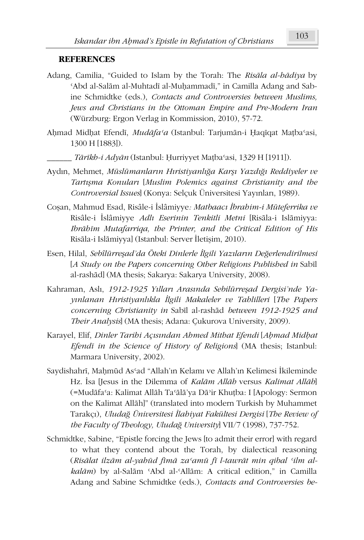### **REFERENCES**

- Adang, Camilia, "Guided to Islam by the Torah: The *RisÃla al-hÃdiya* by 'Abd al-Salām al-Muhtadī al-Muḥammadī," in Camilla Adang and Sabine Schmidtke (eds.), *Contacts and Controversies between Muslims, Jews and Christians in the Ottoman Empire and Pre-Modern Iran*  (Würzburg: Ergon Verlag in Kommission, 2010), 57-72.
- \$Ĝmad MidĜat EfendÑ, *MudÃfaþa* (Istanbul: TarjumÃn-i ěaqÑqat Maİbaþasi, 1300 H [1883]).
	- \_\_\_\_\_\_ *7ÃUÑkh-i AdyÃn* (Istanbul: ěurriyyet Maİbaþasi, 1329 H [1911]).
- AydÕn, Mehmet, *MüslümanlarÕn HÕristiyanlÕÍa KarȞÕ YazdÕÍÕ Reddiyeler ve TartÕȞma KonularÕ* [*Muslim Polemics against Christianity and the Controversial Issues*] (Konya: Selçuk Üniversitesi Yayınları, 1989).
- Coșan, Mahmud Esad, Risâle-i İslâmiyye: Matbaacı İbrahim-i Müteferrika ve Risâle-i İslâmiyye Adlı Eserinin Tenkitli Metni [Risāla-i Islāmiyya: *Ibrābīm Mutafarriqa, the Printer, and the Critical Edition of His* Risāla-i Islāmiyya] (Istanbul: Server İletişim, 2010).
- Esen, Hilal, *SebîlürreȞad'da Öteki Dinlerle Ôlgili YazÕlarÕn DeÍerlendirilmesi*  [A Study on the Papers concerning Other Religions Published in Sabil al-rashād] (MA thesis; Sakarya: Sakarya University, 2008).
- Kahraman, AslÕ, *1912-1925 YÕllarÕ ArasÕnda SebilürreȞad Dergisi'nde Ya- \Õnlanan HÕristiyanlÕkla Ôlgili Makaleler ve Tahlilleri* [*The Papers concerning Christianity in Sabil al-rashād between 1912-1925 and Their Analysis*] (MA thesis; Adana: Çukurova University, 2009).
- Karayel, Elif, *Dinler Tarihi Açısından Ahmed Mithat Efendi [Ahmad Midhat EfendÑ in the Science of History of Religions*] (MA thesis; Istanbul: Marmara University, 2002).
- Saydishahrī, Mahmūd As'ad "Allah'ın Kelamı ve Allah'ın Kelimesi İkileminde Hz. İsa [Jesus in the Dilemma of *Kalām Allāh* versus *Kalimat Allāh*] (=Mudāfa'a: Kalimat Allāh Ta'ālā'ya Dā'ir Khuṭba: I [Apology: Sermon] on the Kalimat AllÃh]" (translated into modern Turkish by Muhammet TarakçÕ), *UludaÍ Üniversitesi Ôlahiyat Fakültesi Dergisi* [*The Review of the Faculty of Theology, UludaÍ University*] VII/7 (1998), 737-752.
- Schmidtke, Sabine, "Epistle forcing the Jews [to admit their error] with regard to what they contend about the Torah, by dialectical reasoning (*RisÃlat ilzÃm al-yahád fÑPÃ zaþamá fÑ l-tawrÃt min qibal þilm alkalām*) by al-Salām 'Abd al-'Allām: A critical edition," in Camilla Adang and Sabine Schmidtke (eds.), *Contacts and Controversies be-*